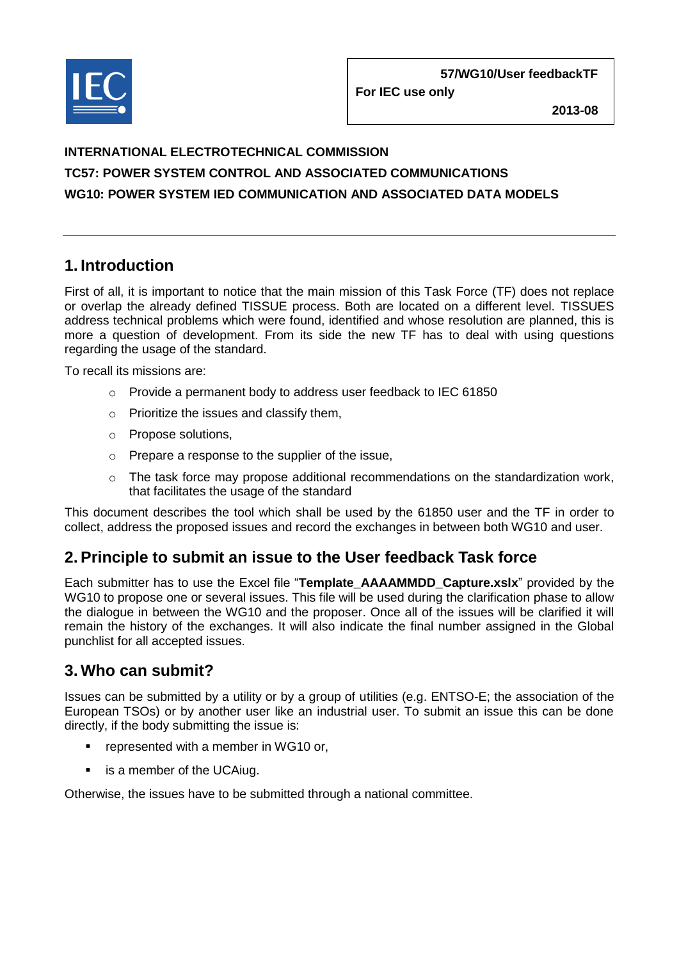

**For IEC use only**

**2013-08**

# **INTERNATIONAL ELECTROTECHNICAL COMMISSION TC57: POWER SYSTEM CONTROL AND ASSOCIATED COMMUNICATIONS WG10: POWER SYSTEM IED COMMUNICATION AND ASSOCIATED DATA MODELS**

# **1. Introduction**

First of all, it is important to notice that the main mission of this Task Force (TF) does not replace or overlap the already defined TISSUE process. Both are located on a different level. TISSUES address technical problems which were found, identified and whose resolution are planned, this is more a question of development. From its side the new TF has to deal with using questions regarding the usage of the standard.

To recall its missions are:

- o Provide a permanent body to address user feedback to IEC 61850
- o Prioritize the issues and classify them,
- o Propose solutions,
- o Prepare a response to the supplier of the issue,
- $\circ$  The task force may propose additional recommendations on the standardization work, that facilitates the usage of the standard

This document describes the tool which shall be used by the 61850 user and the TF in order to collect, address the proposed issues and record the exchanges in between both WG10 and user.

## **2. Principle to submit an issue to the User feedback Task force**

Each submitter has to use the Excel file "**Template\_AAAAMMDD\_Capture.xslx**" provided by the WG10 to propose one or several issues. This file will be used during the clarification phase to allow the dialogue in between the WG10 and the proposer. Once all of the issues will be clarified it will remain the history of the exchanges. It will also indicate the final number assigned in the Global punchlist for all accepted issues.

## **3. Who can submit?**

Issues can be submitted by a utility or by a group of utilities (e.g. ENTSO-E; the association of the European TSOs) or by another user like an industrial user. To submit an issue this can be done directly, if the body submitting the issue is:

- **•** represented with a member in WG10 or,
- **EXE** is a member of the UCAiug.

Otherwise, the issues have to be submitted through a national committee.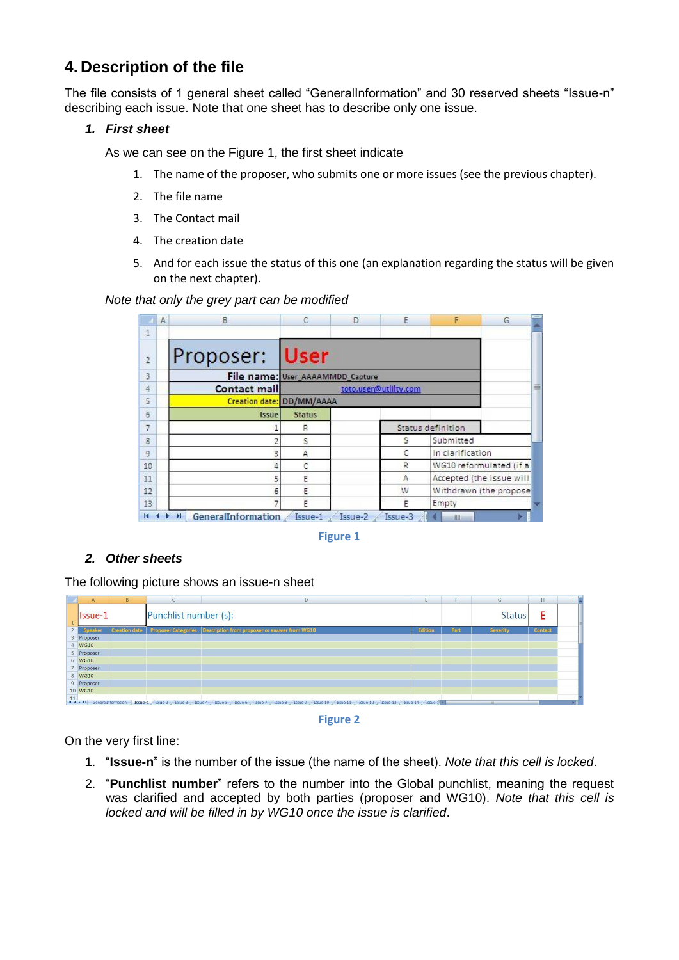# **4. Description of the file**

The file consists of 1 general sheet called "GeneralInformation" and 30 reserved sheets "Issue-n" describing each issue. Note that one sheet has to describe only one issue.

#### *1. First sheet*

As we can see on the Figure 1, the first sheet indicate

- 1. The name of the proposer, who submits one or more issues (see the previous chapter).
- 2. The file name
- 3. The Contact mail
- 4. The creation date
- 5. And for each issue the status of this one (an explanation regarding the status will be given on the next chapter).

#### *Note that only the grey part can be modified*

|                | A | B                                |                            | D | E | F                        | G |  |
|----------------|---|----------------------------------|----------------------------|---|---|--------------------------|---|--|
| 1              |   |                                  |                            |   |   |                          |   |  |
| $\overline{2}$ |   | Proposer: User                   |                            |   |   |                          |   |  |
| 3              |   | File name: User_AAAAMMDD_Capture |                            |   |   |                          |   |  |
| 4              |   | Contact mail                     | 亖<br>toto.user@utility.com |   |   |                          |   |  |
| 5              |   | Creation date: DD/MM/AAAA        |                            |   |   |                          |   |  |
| 6              |   | Issue                            | <b>Status</b>              |   |   |                          |   |  |
| $\overline{7}$ |   |                                  | R                          |   |   | Status definition        |   |  |
| 8              |   |                                  | S                          |   | s | Submitted                |   |  |
| $\overline{9}$ |   |                                  | A                          |   | C | In clarification         |   |  |
| 10             |   |                                  |                            |   | R | WG10 reformulated (if a  |   |  |
| 11             |   | 5                                | Ε                          |   | A | Accepted (the issue will |   |  |
| 12             |   | 6                                | F                          |   | W | Withdrawn (the propose   |   |  |
| 13             |   |                                  | E                          |   | F | Empty                    |   |  |

**Figure 1**

## *2. Other sheets*

The following picture shows an issue-n sheet





On the very first line:

- 1. "**Issue-n**" is the number of the issue (the name of the sheet). *Note that this cell is locked*.
- 2. "**Punchlist number**" refers to the number into the Global punchlist, meaning the request was clarified and accepted by both parties (proposer and WG10). *Note that this cell is locked and will be filled in by WG10 once the issue is clarified*.